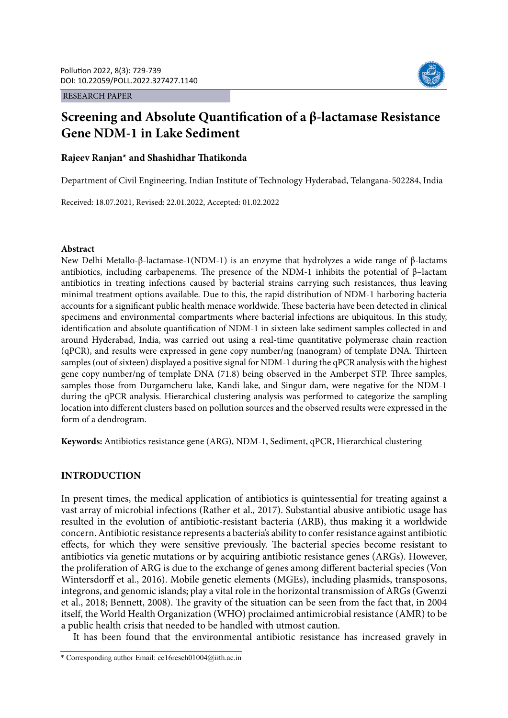RESEARCH PAPER



# **Screening and Absolute Quantification of a β-lactamase Resistance Gene NDM-1 in Lake Sediment**

## **Rajeev Ranjan\* and Shashidhar Thatikonda**

Department of Civil Engineering, Indian Institute of Technology Hyderabad, Telangana-502284, India

Received: 18.07.2021, Revised: 22.01.2022, Accepted: 01.02.2022

## **Abstract**

New Delhi Metallo-β-lactamase-1(NDM-1) is an enzyme that hydrolyzes a wide range of β-lactams antibiotics, including carbapenems. The presence of the NDM-1 inhibits the potential of β–lactam antibiotics in treating infections caused by bacterial strains carrying such resistances, thus leaving minimal treatment options available. Due to this, the rapid distribution of NDM-1 harboring bacteria accounts for a significant public health menace worldwide. These bacteria have been detected in clinical specimens and environmental compartments where bacterial infections are ubiquitous. In this study, identification and absolute quantification of NDM-1 in sixteen lake sediment samples collected in and around Hyderabad, India, was carried out using a real-time quantitative polymerase chain reaction (qPCR), and results were expressed in gene copy number/ng (nanogram) of template DNA. Thirteen samples (out of sixteen) displayed a positive signal for NDM-1 during the qPCR analysis with the highest gene copy number/ng of template DNA (71.8) being observed in the Amberpet STP. Three samples, samples those from Durgamcheru lake, Kandi lake, and Singur dam, were negative for the NDM-1 during the qPCR analysis. Hierarchical clustering analysis was performed to categorize the sampling location into different clusters based on pollution sources and the observed results were expressed in the form of a dendrogram.

**Keywords:** Antibiotics resistance gene (ARG), NDM-1, Sediment, qPCR, Hierarchical clustering

## **INTRODUCTION**

In present times, the medical application of antibiotics is quintessential for treating against a vast array of microbial infections (Rather et al., 2017). Substantial abusive antibiotic usage has resulted in the evolution of antibiotic-resistant bacteria (ARB), thus making it a worldwide concern. Antibiotic resistance represents a bacteria's ability to confer resistance against antibiotic effects, for which they were sensitive previously. The bacterial species become resistant to antibiotics via genetic mutations or by acquiring antibiotic resistance genes (ARGs). However, the proliferation of ARG is due to the exchange of genes among different bacterial species (Von Wintersdorff et al., 2016). Mobile genetic elements (MGEs), including plasmids, transposons, integrons, and genomic islands; play a vital role in the horizontal transmission of ARGs (Gwenzi et al., 2018; Bennett, 2008). The gravity of the situation can be seen from the fact that, in 2004 itself, the World Health Organization (WHO) proclaimed antimicrobial resistance (AMR) to be a public health crisis that needed to be handled with utmost caution.

It has been found that the environmental antibiotic resistance has increased gravely in

<sup>\*</sup> Corresponding author Email: ce16resch01004@iith.ac.in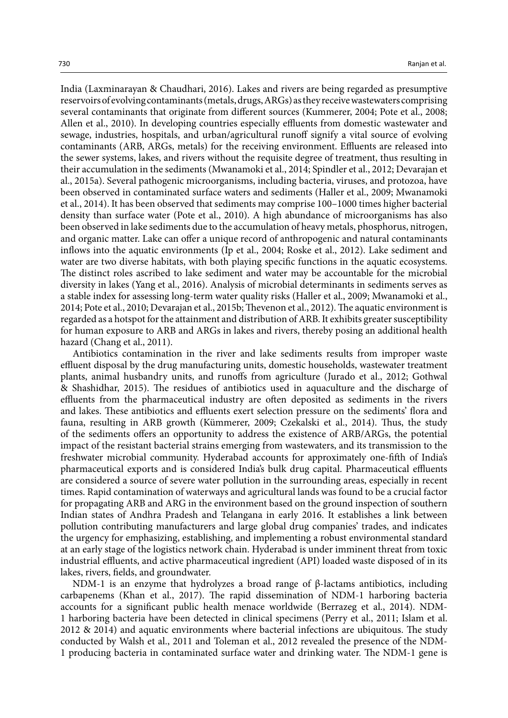India (Laxminarayan & Chaudhari, 2016). Lakes and rivers are being regarded as presumptive reservoirs of evolving contaminants (metals, drugs, ARGs) as they receive wastewaters comprising several contaminants that originate from different sources (Kummerer, 2004; Pote et al., 2008; Allen et al., 2010). In developing countries especially effluents from domestic wastewater and sewage, industries, hospitals, and urban/agricultural runoff signify a vital source of evolving contaminants (ARB, ARGs, metals) for the receiving environment. Effluents are released into the sewer systems, lakes, and rivers without the requisite degree of treatment, thus resulting in their accumulation in the sediments (Mwanamoki et al., 2014; Spindler et al., 2012; Devarajan et al., 2015a). Several pathogenic microorganisms, including bacteria, viruses, and protozoa, have been observed in contaminated surface waters and sediments (Haller et al., 2009; Mwanamoki et al., 2014). It has been observed that sediments may comprise 100–1000 times higher bacterial density than surface water (Pote et al., 2010). A high abundance of microorganisms has also been observed in lake sediments due to the accumulation of heavy metals, phosphorus, nitrogen, and organic matter. Lake can offer a unique record of anthropogenic and natural contaminants inflows into the aquatic environments (Ip et al., 2004; Roske et al., 2012). Lake sediment and water are two diverse habitats, with both playing specific functions in the aquatic ecosystems. The distinct roles ascribed to lake sediment and water may be accountable for the microbial diversity in lakes (Yang et al., 2016). Analysis of microbial determinants in sediments serves as a stable index for assessing long-term water quality risks (Haller et al., 2009; Mwanamoki et al., 2014; Pote et al., 2010; Devarajan et al., 2015b; Thevenon et al., 2012). The aquatic environment is regarded as a hotspot for the attainment and distribution of ARB. It exhibits greater susceptibility for human exposure to ARB and ARGs in lakes and rivers, thereby posing an additional health hazard (Chang et al., 2011).

Antibiotics contamination in the river and lake sediments results from improper waste effluent disposal by the drug manufacturing units, domestic households, wastewater treatment plants, animal husbandry units, and runoffs from agriculture (Jurado et al., 2012; Gothwal & Shashidhar, 2015). The residues of antibiotics used in aquaculture and the discharge of effluents from the pharmaceutical industry are often deposited as sediments in the rivers and lakes. These antibiotics and effluents exert selection pressure on the sediments' flora and fauna, resulting in ARB growth (Kümmerer, 2009; Czekalski et al., 2014). Thus, the study of the sediments offers an opportunity to address the existence of ARB/ARGs, the potential impact of the resistant bacterial strains emerging from wastewaters, and its transmission to the freshwater microbial community. Hyderabad accounts for approximately one-fifth of India's pharmaceutical exports and is considered India's bulk drug capital. Pharmaceutical effluents are considered a source of severe water pollution in the surrounding areas, especially in recent times. Rapid contamination of waterways and agricultural lands was found to be a crucial factor for propagating ARB and ARG in the environment based on the ground inspection of southern Indian states of Andhra Pradesh and Telangana in early 2016. It establishes a link between pollution contributing manufacturers and large global drug companies' trades, and indicates the urgency for emphasizing, establishing, and implementing a robust environmental standard at an early stage of the logistics network chain. Hyderabad is under imminent threat from toxic industrial effluents, and active pharmaceutical ingredient (API) loaded waste disposed of in its lakes, rivers, fields, and groundwater.

NDM-1 is an enzyme that hydrolyzes a broad range of β-lactams antibiotics, including carbapenems (Khan et al., 2017). The rapid dissemination of NDM-1 harboring bacteria accounts for a significant public health menace worldwide (Berrazeg et al., 2014). NDM-1 harboring bacteria have been detected in clinical specimens (Perry et al., 2011; Islam et al. 2012 & 2014) and aquatic environments where bacterial infections are ubiquitous. The study conducted by Walsh et al., 2011 and Toleman et al., 2012 revealed the presence of the NDM-1 producing bacteria in contaminated surface water and drinking water. The NDM-1 gene is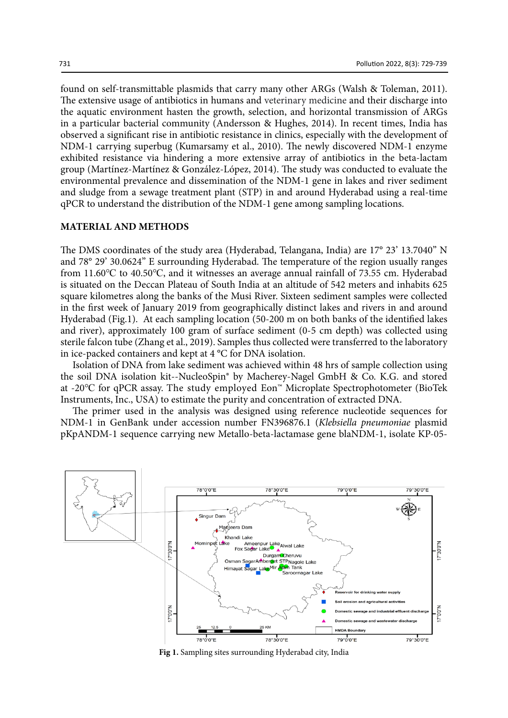found on self-transmittable plasmids that carry many other ARGs (Walsh & Toleman, 2011). The extensive usage of antibiotics in humans and veterinary medicine and their discharge into the aquatic environment hasten the growth, selection, and horizontal transmission of ARGs in a particular bacterial community (Andersson & Hughes, 2014). In recent times, India has observed a significant rise in antibiotic resistance in clinics, especially with the development of NDM-1 carrying superbug (Kumarsamy et al., 2010). The newly discovered NDM-1 enzyme exhibited resistance via hindering a more extensive array of antibiotics in the beta-lactam group (Martínez-Martínez & González-López, 2014). The study was conducted to evaluate the environmental prevalence and dissemination of the NDM-1 gene in lakes and river sediment and sludge from a sewage treatment plant (STP) in and around Hyderabad using a real-time qPCR to understand the distribution of the NDM-1 gene among sampling locations.

#### **MATERIAL AND METHODS**

The DMS coordinates of the study area (Hyderabad, Telangana, India) are 17° 23' 13.7040" N and 78° 29' 30.0624" E surrounding Hyderabad. The temperature of the region usually ranges from 11.60℃ to 40.50℃, and it witnesses an average annual rainfall of 73.55 cm. Hyderabad is situated on the Deccan Plateau of South India at an altitude of 542 meters and inhabits 625 square kilometres along the banks of the Musi River. Sixteen sediment samples were collected in the first week of January 2019 from geographically distinct lakes and rivers in and around Hyderabad (Fig.1). At each sampling location (50-200 m on both banks of the identified lakes and river), approximately 100 gram of surface sediment (0-5 cm depth) was collected using sterile falcon tube (Zhang et al., 2019). Samples thus collected were transferred to the laboratory in ice-packed containers and kept at 4 °C for DNA isolation.

Isolation of DNA from lake sediment was achieved within 48 hrs of sample collection using the soil DNA isolation kit--NucleoSpin® by Macherey-Nagel GmbH & Co. K.G. and stored at -20℃ for qPCR assay. The study employed Eon™ Microplate Spectrophotometer (BioTek Instruments, Inc., USA) to estimate the purity and concentration of extracted DNA.

The primer used in the analysis was designed using reference nucleotide sequences for NDM-1 in GenBank under accession number FN396876.1 (*Klebsiella pneumoniae* plasmid pKpANDM-1 sequence carrying new Metallo-beta-lactamase gene blaNDM-1, isolate KP-05-



**Fig 1.** Sampling sites surrounding Hyderabad city, India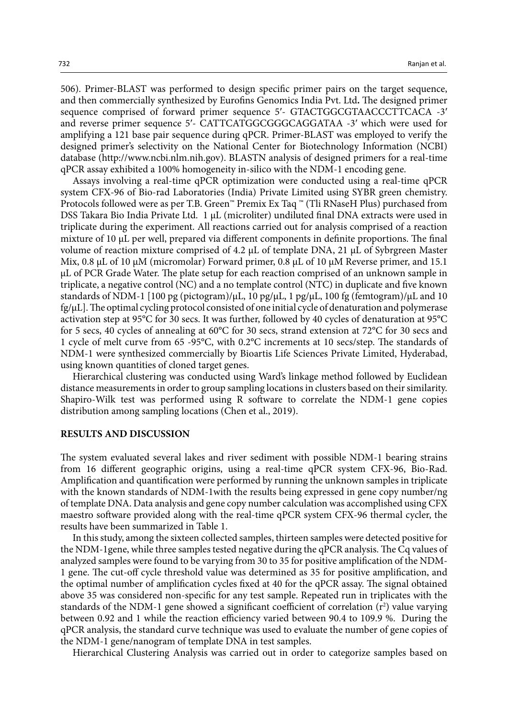506). Primer-BLAST was performed to design specific primer pairs on the target sequence, and then commercially synthesized by Eurofins Genomics India Pvt. Ltd**.** The designed primer sequence comprised of forward primer sequence 5′- GTACTGGCGTAACCCTTCACA -3′ and reverse primer sequence 5′- CATTCATGGCGGGCAGGATAA -3′ which were used for amplifying a 121 base pair sequence during qPCR. Primer-BLAST was employed to verify the designed primer's selectivity on the National Center for Biotechnology Information (NCBI) database (http://www.ncbi.nlm.nih.gov). BLASTN analysis of designed primers for a real-time qPCR assay exhibited a 100% homogeneity in-silico with the NDM-1 encoding gene.

Assays involving a real-time qPCR optimization were conducted using a real-time qPCR system CFX-96 of Bio-rad Laboratories (India) Private Limited using SYBR green chemistry. Protocols followed were as per T.B. Green™ Premix Ex Taq ™ (Tli RNaseH Plus) purchased from DSS Takara Bio India Private Ltd. 1 μL (microliter) undiluted final DNA extracts were used in triplicate during the experiment. All reactions carried out for analysis comprised of a reaction mixture of 10 μL per well, prepared via different components in definite proportions. The final volume of reaction mixture comprised of 4.2 μL of template DNA, 21 μL of Sybrgreen Master Mix, 0.8 μL of 10 μM (micromolar) Forward primer, 0.8 μL of 10 μM Reverse primer, and 15.1 μL of PCR Grade Water. The plate setup for each reaction comprised of an unknown sample in triplicate, a negative control (NC) and a no template control (NTC) in duplicate and five known standards of NDM-1 [100 pg (pictogram)/ $\mu$ L, 10 pg/ $\mu$ L, 1 pg/ $\mu$ L, 100 fg (femtogram)/ $\mu$ L and 10 fg/μL]. The optimal cycling protocol consisted of one initial cycle of denaturation and polymerase activation step at 95°C for 30 secs. It was further, followed by 40 cycles of denaturation at 95°C for 5 secs, 40 cycles of annealing at 60°C for 30 secs, strand extension at 72°C for 30 secs and 1 cycle of melt curve from 65 -95°C, with 0.2°C increments at 10 secs/step. The standards of NDM-1 were synthesized commercially by Bioartis Life Sciences Private Limited, Hyderabad, using known quantities of cloned target genes.

Hierarchical clustering was conducted using Ward's linkage method followed by Euclidean distance measurements in order to group sampling locations in clusters based on their similarity. Shapiro-Wilk test was performed using R software to correlate the NDM-1 gene copies distribution among sampling locations (Chen et al., 2019).

## **RESULTS AND DISCUSSION**

The system evaluated several lakes and river sediment with possible NDM-1 bearing strains from 16 different geographic origins, using a real-time qPCR system CFX-96, Bio-Rad. Amplification and quantification were performed by running the unknown samples in triplicate with the known standards of NDM-1with the results being expressed in gene copy number/ng of template DNA. Data analysis and gene copy number calculation was accomplished using CFX maestro software provided along with the real-time qPCR system CFX-96 thermal cycler, the results have been summarized in Table 1.

In this study, among the sixteen collected samples, thirteen samples were detected positive for the NDM-1gene, while three samples tested negative during the qPCR analysis. The Cq values of analyzed samples were found to be varying from 30 to 35 for positive amplification of the NDM-1 gene. The cut-off cycle threshold value was determined as 35 for positive amplification, and the optimal number of amplification cycles fixed at 40 for the qPCR assay. The signal obtained above 35 was considered non-specific for any test sample. Repeated run in triplicates with the standards of the NDM-1 gene showed a significant coefficient of correlation  $(r^2)$  value varying between 0.92 and 1 while the reaction efficiency varied between 90.4 to 109.9 %. During the qPCR analysis, the standard curve technique was used to evaluate the number of gene copies of the NDM-1 gene/nanogram of template DNA in test samples.

Hierarchical Clustering Analysis was carried out in order to categorize samples based on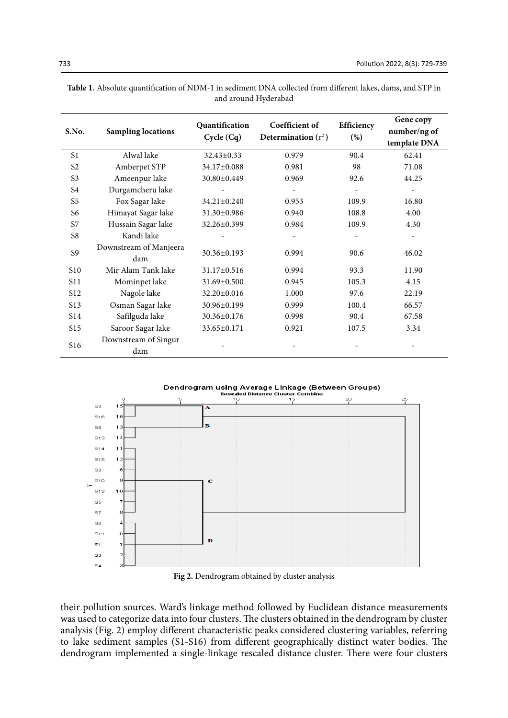| S.No.            | <b>Sampling locations</b>     | Quantification<br>Cycle (Cq) | Coefficient of<br>Determination $(r^2)$ | Efficiency<br>(%) | Gene copy<br>number/ng of<br>template DNA |
|------------------|-------------------------------|------------------------------|-----------------------------------------|-------------------|-------------------------------------------|
| S <sub>1</sub>   | Alwal lake                    | $32.43 \pm 0.33$             | 0.979                                   | 90.4              | 62.41                                     |
| S <sub>2</sub>   | Amberpet STP                  | 34.17±0.088                  | 0.981                                   | 98                | 71.08                                     |
| S <sub>3</sub>   | Ameenpur lake                 | 30.80±0.449                  | 0.969                                   | 92.6              | 44.25                                     |
| S4               | Durgamcheru lake              |                              |                                         |                   |                                           |
| S5               | Fox Sagar lake                | 34.21±0.240                  | 0.953                                   | 109.9             | 16.80                                     |
| S6               | Himayat Sagar lake            | 31.30±0.986                  | 0.940                                   | 108.8             | 4.00                                      |
| S7               | Hussain Sagar lake            | 32.26±0.399                  | 0.984                                   | 109.9             | 4.30                                      |
| S8               | Kandi lake                    |                              |                                         |                   |                                           |
| S <sub>9</sub>   | Downstream of Manjeera<br>dam | 30.36±0.193                  | 0.994                                   | 90.6              | 46.02                                     |
| S <sub>10</sub>  | Mir Alam Tank lake            | 31.17±0.516                  | 0.994                                   | 93.3              | 11.90                                     |
| S <sub>11</sub>  | Mominpet lake                 | 31.69±0.500                  | 0.945                                   | 105.3             | 4.15                                      |
| S <sub>12</sub>  | Nagole lake                   | 32.20±0.016                  | 1.000                                   | 97.6              | 22.19                                     |
| S <sub>1</sub> 3 | Osman Sagar lake              | 30.96±0.199                  | 0.999                                   | 100.4             | 66.57                                     |
| S <sub>14</sub>  | Safilguda lake                | 30.36±0.176                  | 0.998                                   | 90.4              | 67.58                                     |
| S15              | Saroor Sagar lake             | 33.65±0.171                  | 0.921                                   | 107.5             | 3.34                                      |
| S <sub>16</sub>  | Downstream of Singur<br>dam   |                              |                                         |                   |                                           |

| <b>Table 1.</b> Absolute quantification of NDM-1 in sediment DNA collected from different lakes, dams, and STP in |  |
|-------------------------------------------------------------------------------------------------------------------|--|
| and around Hyderabad                                                                                              |  |

Dendrogram using Average Linkage (Between Groups)



Fig.2: Dendrogram obtained by cluster analysis **Fig 2.** Dendrogram obtained by cluster analysis

their pollution sources. Ward's linkage method followed by Euclidean distance measurements was used to categorize data into four clusters. The clusters obtained in the dendrogram by cluster analysis (Fig. 2) employ different characteristic peaks considered clustering variables, referring to lake sediment samples (S1-S16) from different geographically distinct water bodies. The dendrogram implemented a single-linkage rescaled distance cluster. There were four clusters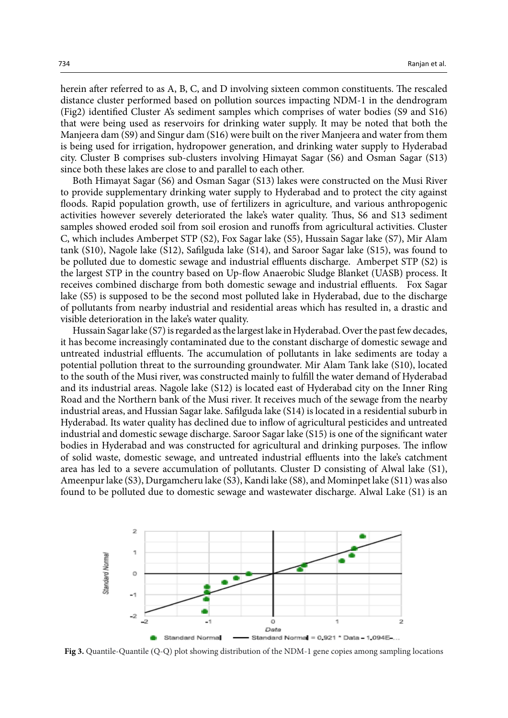herein after referred to as A, B, C, and D involving sixteen common constituents. The rescaled distance cluster performed based on pollution sources impacting NDM-1 in the dendrogram (Fig2) identified Cluster A's sediment samples which comprises of water bodies (S9 and S16) that were being used as reservoirs for drinking water supply. It may be noted that both the Manjeera dam (S9) and Singur dam (S16) were built on the river Manjeera and water from them is being used for irrigation, hydropower generation, and drinking water supply to Hyderabad city. Cluster B comprises sub-clusters involving Himayat Sagar (S6) and Osman Sagar (S13) since both these lakes are close to and parallel to each other.

Both Himayat Sagar (S6) and Osman Sagar (S13) lakes were constructed on the Musi River to provide supplementary drinking water supply to Hyderabad and to protect the city against floods. Rapid population growth, use of fertilizers in agriculture, and various anthropogenic activities however severely deteriorated the lake's water quality. Thus, S6 and S13 sediment samples showed eroded soil from soil erosion and runoffs from agricultural activities. Cluster C, which includes Amberpet STP (S2), Fox Sagar lake (S5), Hussain Sagar lake (S7), Mir Alam tank (S10), Nagole lake (S12), Safilguda lake (S14), and Saroor Sagar lake (S15), was found to be polluted due to domestic sewage and industrial effluents discharge. Amberpet STP (S2) is the largest STP in the country based on Up-flow Anaerobic Sludge Blanket (UASB) process. It receives combined discharge from both domestic sewage and industrial effluents. Fox Sagar lake (S5) is supposed to be the second most polluted lake in Hyderabad, due to the discharge of pollutants from nearby industrial and residential areas which has resulted in, a drastic and visible deterioration in the lake's water quality.

Hussain Sagar lake (S7) is regarded as the largest lake in Hyderabad. Over the past few decades, it has become increasingly contaminated due to the constant discharge of domestic sewage and untreated industrial effluents. The accumulation of pollutants in lake sediments are today a potential pollution threat to the surrounding groundwater. Mir Alam Tank lake (S10), located to the south of the Musi river, was constructed mainly to fulfill the water demand of Hyderabad and its industrial areas. Nagole lake (S12) is located east of Hyderabad city on the Inner Ring Road and the Northern bank of the Musi river. It receives much of the sewage from the nearby industrial areas, and Hussian Sagar lake. Safilguda lake (S14) is located in a residential suburb in Hyderabad. Its water quality has declined due to inflow of agricultural pesticides and untreated industrial and domestic sewage discharge. Saroor Sagar lake (S15) is one of the significant water bodies in Hyderabad and was constructed for agricultural and drinking purposes. The inflow of solid waste, domestic sewage, and untreated industrial effluents into the lake's catchment area has led to a severe accumulation of pollutants. Cluster D consisting of Alwal lake (S1), Ameenpur lake (S3), Durgamcheru lake (S3), Kandi lake (S8), and Mominpet lake (S11) was also found to be polluted due to domestic sewage and wastewater discharge. Alwal Lake (S1) is an



Fig 3. Quantile-Quantile (Q-Q) plot showing distribution of the NDM-1 gene copies among **Fig 3.** Quantile-Quantile (Q-Q) plot showing distribution of the NDM-1 gene copies among sampling locations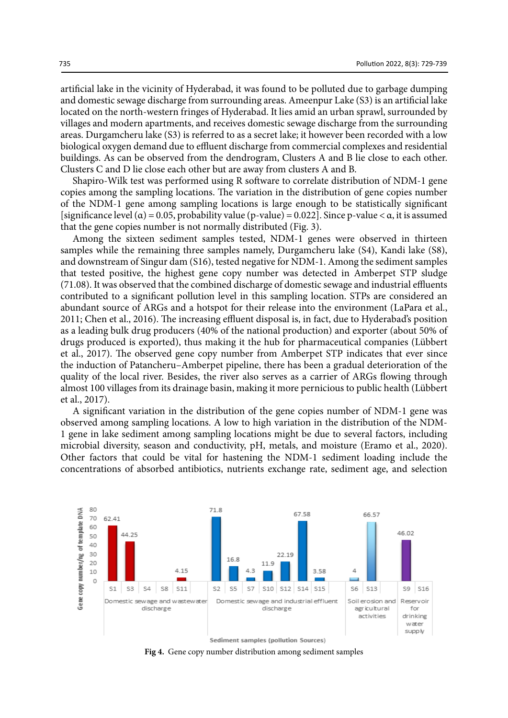artificial lake in the vicinity of Hyderabad, it was found to be polluted due to garbage dumping and domestic sewage discharge from surrounding areas. Ameenpur Lake (S3) is an artificial lake located on the north-western fringes of Hyderabad. It lies amid an urban sprawl, surrounded by villages and modern apartments, and receives domestic sewage discharge from the surrounding areas. Durgamcheru lake (S3) is referred to as a secret lake; it however been recorded with a low biological oxygen demand due to effluent discharge from commercial complexes and residential buildings. As can be observed from the dendrogram, Clusters A and B lie close to each other. Clusters C and D lie close each other but are away from clusters A and B.

Shapiro-Wilk test was performed using R software to correlate distribution of NDM-1 gene copies among the sampling locations. The variation in the distribution of gene copies number of the NDM-1 gene among sampling locations is large enough to be statistically significant [significance level ( $\alpha$ ) = 0.05, probability value (p-value) = 0.022]. Since p-value <  $\alpha$ , it is assumed that the gene copies number is not normally distributed (Fig. 3).

Among the sixteen sediment samples tested, NDM-1 genes were observed in thirteen samples while the remaining three samples namely, Durgamcheru lake (S4), Kandi lake (S8), and downstream of Singur dam (S16), tested negative for NDM-1. Among the sediment samples that tested positive, the highest gene copy number was detected in Amberpet STP sludge (71.08). It was observed that the combined discharge of domestic sewage and industrial effluents contributed to a significant pollution level in this sampling location. STPs are considered an abundant source of ARGs and a hotspot for their release into the environment (LaPara et al., 2011; Chen et al., 2016). The increasing effluent disposal is, in fact, due to Hyderabad's position as a leading bulk drug producers (40% of the national production) and exporter (about 50% of drugs produced is exported), thus making it the hub for pharmaceutical companies (Lübbert et al., 2017). The observed gene copy number from Amberpet STP indicates that ever since the induction of Patancheru–Amberpet pipeline, there has been a gradual deterioration of the quality of the local river. Besides, the river also serves as a carrier of ARGs flowing through almost 100 villages from its drainage basin, making it more pernicious to public health (Lübbert et al., 2017).

A significant variation in the distribution of the gene copies number of NDM-1 gene was observed among sampling locations. A low to high variation in the distribution of the NDM-1 gene in lake sediment among sampling locations might be due to several factors, including microbial diversity, season and conductivity, pH, metals, and moisture (Eramo et al., 2020). Other factors that could be vital for hastening the NDM-1 sediment loading include the concentrations of absorbed antibiotics, nutrients exchange rate, sediment age, and selection



**Fig 4.** Gene copy number distribution among sediment samples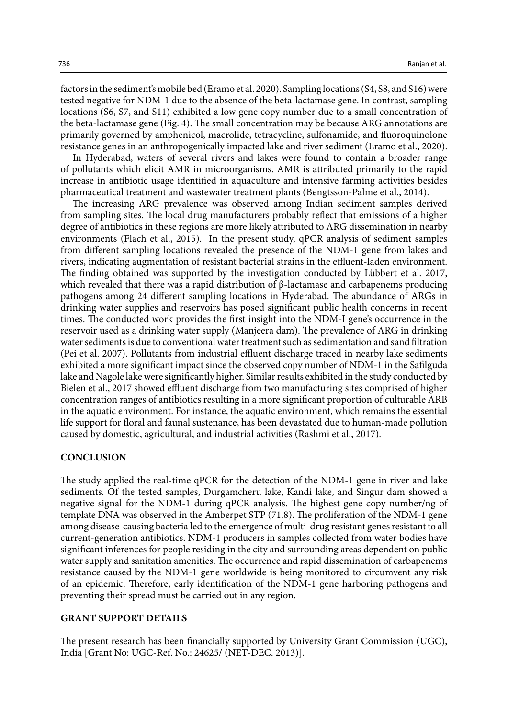factors in the sediment's mobile bed (Eramo et al. 2020). Sampling locations (S4, S8, and S16) were tested negative for NDM-1 due to the absence of the beta-lactamase gene. In contrast, sampling locations (S6, S7, and S11) exhibited a low gene copy number due to a small concentration of the beta-lactamase gene (Fig. 4). The small concentration may be because ARG annotations are primarily governed by amphenicol, macrolide, tetracycline, sulfonamide, and fluoroquinolone resistance genes in an anthropogenically impacted lake and river sediment (Eramo et al., 2020).

In Hyderabad, waters of several rivers and lakes were found to contain a broader range of pollutants which elicit AMR in microorganisms. AMR is attributed primarily to the rapid increase in antibiotic usage identified in aquaculture and intensive farming activities besides pharmaceutical treatment and wastewater treatment plants (Bengtsson-Palme et al., 2014).

The increasing ARG prevalence was observed among Indian sediment samples derived from sampling sites. The local drug manufacturers probably reflect that emissions of a higher degree of antibiotics in these regions are more likely attributed to ARG dissemination in nearby environments (Flach et al., 2015). In the present study, qPCR analysis of sediment samples from different sampling locations revealed the presence of the NDM-1 gene from lakes and rivers, indicating augmentation of resistant bacterial strains in the effluent-laden environment. The finding obtained was supported by the investigation conducted by Lübbert et al. 2017, which revealed that there was a rapid distribution of β-lactamase and carbapenems producing pathogens among 24 different sampling locations in Hyderabad. The abundance of ARGs in drinking water supplies and reservoirs has posed significant public health concerns in recent times. The conducted work provides the first insight into the NDM-I gene's occurrence in the reservoir used as a drinking water supply (Manjeera dam). The prevalence of ARG in drinking water sediments is due to conventional water treatment such as sedimentation and sand filtration (Pei et al. 2007). Pollutants from industrial effluent discharge traced in nearby lake sediments exhibited a more significant impact since the observed copy number of NDM-1 in the Safilguda lake and Nagole lake were significantly higher. Similar results exhibited in the study conducted by Bielen et al., 2017 showed effluent discharge from two manufacturing sites comprised of higher concentration ranges of antibiotics resulting in a more significant proportion of culturable ARB in the aquatic environment. For instance, the aquatic environment, which remains the essential life support for floral and faunal sustenance, has been devastated due to human-made pollution caused by domestic, agricultural, and industrial activities (Rashmi et al., 2017).

### **CONCLUSION**

The study applied the real-time qPCR for the detection of the NDM-1 gene in river and lake sediments. Of the tested samples, Durgamcheru lake, Kandi lake, and Singur dam showed a negative signal for the NDM-1 during qPCR analysis. The highest gene copy number/ng of template DNA was observed in the Amberpet STP (71.8). The proliferation of the NDM-1 gene among disease-causing bacteria led to the emergence of multi-drug resistant genes resistant to all current-generation antibiotics. NDM-1 producers in samples collected from water bodies have significant inferences for people residing in the city and surrounding areas dependent on public water supply and sanitation amenities. The occurrence and rapid dissemination of carbapenems resistance caused by the NDM-1 gene worldwide is being monitored to circumvent any risk of an epidemic. Therefore, early identification of the NDM-1 gene harboring pathogens and preventing their spread must be carried out in any region.

### **GRANT SUPPORT DETAILS**

The present research has been financially supported by University Grant Commission (UGC), India [Grant No: UGC-Ref. No.: 24625/ (NET-DEC. 2013)].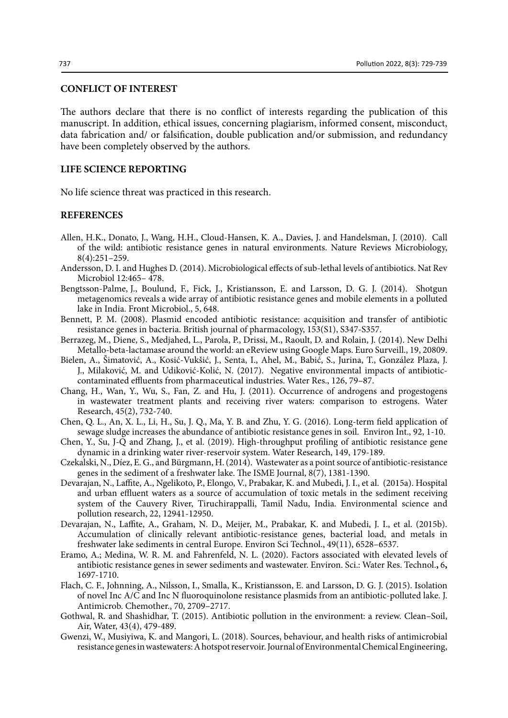## **CONFLICT OF INTEREST**

The authors declare that there is no conflict of interests regarding the publication of this manuscript. In addition, ethical issues, concerning plagiarism, informed consent, misconduct, data fabrication and/ or falsification, double publication and/or submission, and redundancy have been completely observed by the authors.

## **LIFE SCIENCE REPORTING**

No life science threat was practiced in this research.

#### **REFERENCES**

- Allen, H.K., Donato, J., Wang, H.H., Cloud-Hansen, K. A., Davies, J. and Handelsman, J. (2010). Call of the wild: antibiotic resistance genes in natural environments. Nature Reviews Microbiology, 8(4):251–259.
- Andersson, D. I. and Hughes D. (2014). Microbiological effects of sub-lethal levels of antibiotics. Nat Rev Microbiol 12:465– 478.
- Bengtsson-Palme, J., Boulund, F., Fick, J., Kristiansson, E. and Larsson, D. G. J. (2014). Shotgun metagenomics reveals a wide array of antibiotic resistance genes and mobile elements in a polluted lake in India. Front Microbiol., 5, 648.
- Bennett, P. M. (2008). Plasmid encoded antibiotic resistance: acquisition and transfer of antibiotic resistance genes in bacteria. British journal of pharmacology, 153(S1), S347-S357.
- Berrazeg, M., Diene, S., Medjahed, L., Parola, P., Drissi, M., Raoult, D. and Rolain, J. (2014). New Delhi Metallo-beta-lactamase around the world: an eReview using Google Maps. Euro Surveill., 19, 20809.
- Bielen, A., Šimatović, A., Kosić-Vukšić, J., Senta, I., Ahel, M., Babić, S., Jurina, T., González Plaza, J. J., Milaković, M. and Udiković-Kolić, N. (2017). Negative environmental impacts of antibioticcontaminated effluents from pharmaceutical industries. Water Res., 126, 79–87.
- Chang, H., Wan, Y., Wu, S., Fan, Z. and Hu, J. (2011). Occurrence of androgens and progestogens in wastewater treatment plants and receiving river waters: comparison to estrogens. Water Research, 45(2), 732-740.
- Chen, Q. L., An, X. L., Li, H., Su, J. Q., Ma, Y. B. and Zhu, Y. G. (2016). Long-term field application of sewage sludge increases the abundance of antibiotic resistance genes in soil. Environ Int., 92, 1-10.
- Chen, Y., Su, J-Q and Zhang, J., et al. (2019). High-throughput profiling of antibiotic resistance gene dynamic in a drinking water river-reservoir system. Water Research, 149, 179-189.
- Czekalski, N., Díez, E. G., and Bürgmann, H. (2014). Wastewater as a point source of antibiotic-resistance genes in the sediment of a freshwater lake. The ISME Journal, 8(7), 1381-1390.
- Devarajan, N., Laffite, A., Ngelikoto, P., Elongo, V., Prabakar, K. and Mubedi, J. I., et al. (2015a). Hospital and urban effluent waters as a source of accumulation of toxic metals in the sediment receiving system of the Cauvery River, Tiruchirappalli, Tamil Nadu, India. Environmental science and pollution research, 22, 12941-12950.
- Devarajan, N., Laffite, A., Graham, N. D., Meijer, M., Prabakar, K. and Mubedi, J. I., et al. (2015b). Accumulation of clinically relevant antibiotic-resistance genes, bacterial load, and metals in freshwater lake sediments in central Europe. Environ Sci Technol., 49(11), 6528–6537.
- Eramo, A.; Medina, W. R. M. and Fahrenfeld, N. L. (2020). Factors associated with elevated levels of antibiotic resistance genes in sewer sediments and wastewater. Environ. Sci.: Water Res. Technol.**,** 6**,** 1697-1710.
- Flach, C. F., Johnning, A., Nilsson, I., Smalla, K., Kristiansson, E. and Larsson, D. G. J. (2015). Isolation of novel Inc A/C and Inc N fluoroquinolone resistance plasmids from an antibiotic-polluted lake. J. Antimicrob. Chemother., 70, 2709–2717.
- Gothwal, R. and Shashidhar, T. (2015). Antibiotic pollution in the environment: a review. Clean–Soil, Air, Water, 43(4), 479-489.
- Gwenzi, W., Musiyiwa, K. and Mangori, L. (2018). Sources, behaviour, and health risks of antimicrobial resistance genes in wastewaters: A hotspot reservoir. Journal of Environmental Chemical Engineering,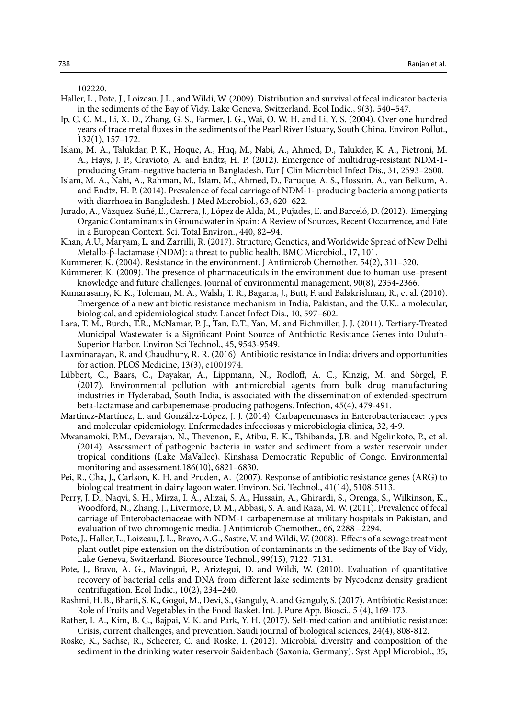102220.

- Haller, L., Pote, J., Loizeau, J.L., and Wildi, W. (2009). Distribution and survival of fecal indicator bacteria in the sediments of the Bay of Vidy, Lake Geneva, Switzerland. Ecol Indic., 9(3), 540–547.
- Ip, C. C. M., Li, X. D., Zhang, G. S., Farmer, J. G., Wai, O. W. H. and Li, Y. S. (2004). Over one hundred years of trace metal fluxes in the sediments of the Pearl River Estuary, South China. Environ Pollut., 132(1), 157–172.
- Islam, M. A., Talukdar, P. K., Hoque, A., Huq, M., Nabi, A., Ahmed, D., Talukder, K. A., Pietroni, M. A., Hays, J. P., Cravioto, A. and Endtz, H. P. (2012). Emergence of multidrug-resistant NDM-1 producing Gram-negative bacteria in Bangladesh. Eur J Clin Microbiol Infect Dis., 31, 2593–2600.
- Islam, M. A., Nabi, A., Rahman, M., Islam, M., Ahmed, D., Faruque, A. S., Hossain, A., van Belkum, A. and Endtz, H. P. (2014). Prevalence of fecal carriage of NDM-1- producing bacteria among patients with diarrhoea in Bangladesh. J Med Microbiol., 63, 620–622.
- Jurado, A., Vàzquez-Suñé, E., Carrera, J., López de Alda, M., Pujades, E. and Barceló, D. (2012). Emerging Organic Contaminants in Groundwater in Spain: A Review of Sources, Recent Occurrence, and Fate in a European Context. Sci. Total Environ., 440, 82–94.
- Khan, A.U., Maryam, L. and Zarrilli, R. (2017). Structure, Genetics, and Worldwide Spread of New Delhi Metallo-β-lactamase (NDM): a threat to public health. BMC Microbiol., 17**,** 101.
- Kummerer, K. (2004). Resistance in the environment. J Antimicrob Chemother. 54(2), 311–320.
- Kümmerer, K. (2009). The presence of pharmaceuticals in the environment due to human use–present knowledge and future challenges. Journal of environmental management, 90(8), 2354-2366.
- Kumarasamy, K. K., Toleman, M. A., Walsh, T. R., Bagaria, J., Butt, F. and Balakrishnan, R., et al. (2010). Emergence of a new antibiotic resistance mechanism in India, Pakistan, and the U.K.: a molecular, biological, and epidemiological study. Lancet Infect Dis., 10, 597–602.
- Lara, T. M., Burch, T.R., McNamar, P. J., Tan, D.T., Yan, M. and Eichmiller, J. J. (2011). Tertiary-Treated Municipal Wastewater is a Significant Point Source of Antibiotic Resistance Genes into Duluth-Superior Harbor. Environ Sci Technol., 45, 9543-9549.
- Laxminarayan, R. and Chaudhury, R. R. (2016). Antibiotic resistance in India: drivers and opportunities for action. PLOS Medicine, 13(3), e1001974.
- Lübbert, C., Baars, C., Dayakar, A., Lippmann, N., Rodloff, A. C., Kinzig, M. and Sörgel, F. (2017). Environmental pollution with antimicrobial agents from bulk drug manufacturing industries in Hyderabad, South India, is associated with the dissemination of extended-spectrum beta-lactamase and carbapenemase-producing pathogens. Infection, 45(4), 479-491.
- Martínez-Martínez, L. and González-López, J. J. (2014). Carbapenemases in Enterobacteriaceae: types and molecular epidemiology. Enfermedades infecciosas y microbiologia clinica, 32, 4-9.
- Mwanamoki, P.M., Devarajan, N., Thevenon, F., Atibu, E. K., Tshibanda, J.B. and Ngelinkoto, P., et al. (2014). Assessment of pathogenic bacteria in water and sediment from a water reservoir under tropical conditions (Lake MaVallee), Kinshasa Democratic Republic of Congo. Environmental monitoring and assessment,186(10), 6821–6830.
- Pei, R., Cha, J., Carlson, K. H. and Pruden, A. **(**2007). Response of antibiotic resistance genes (ARG) to biological treatment in dairy lagoon water. Environ. Sci. Technol., 41(14)**,** 5108-5113.
- Perry, J. D., Naqvi, S. H., Mirza, I. A., Alizai, S. A., Hussain, A., Ghirardi, S., Orenga, S., Wilkinson, K., Woodford, N., Zhang, J., Livermore, D. M., Abbasi, S. A. and Raza, M. W. (2011). Prevalence of fecal carriage of Enterobacteriaceae with NDM-1 carbapenemase at military hospitals in Pakistan, and evaluation of two chromogenic media. J Antimicrob Chemother., 66, 2288 –2294.
- Pote, J., Haller, L., Loizeau, J. L., Bravo, A.G., Sastre, V. and Wildi, W. (2008). Effects of a sewage treatment plant outlet pipe extension on the distribution of contaminants in the sediments of the Bay of Vidy, Lake Geneva, Switzerland. Bioresource Technol., 99(15), 7122–7131.
- Pote, J., Bravo, A. G., Mavingui, P., Ariztegui, D. and Wildi, W. (2010). Evaluation of quantitative recovery of bacterial cells and DNA from different lake sediments by Nycodenz density gradient centrifugation. Ecol Indic., 10(2), 234–240.
- Rashmi, H. B., Bharti, S. K., Gogoi, M., Devi, S., Ganguly, A. and Ganguly, S. (2017). Antibiotic Resistance: Role of Fruits and Vegetables in the Food Basket. Int. J. Pure App. Biosci., 5 (4), 169-173.
- Rather, I. A., Kim, B. C., Bajpai, V. K. and Park, Y. H. (2017). Self-medication and antibiotic resistance: Crisis, current challenges, and prevention. Saudi journal of biological sciences, 24(4), 808-812.
- Roske, K., Sachse, R., Scheerer, C. and Roske, I. (2012). Microbial diversity and composition of the sediment in the drinking water reservoir Saidenbach (Saxonia, Germany). Syst Appl Microbiol., 35,